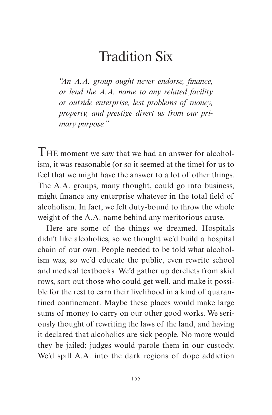## Tradition Six

*"An A.A. group ought never endorse, finance, or lend the A.A. name to any related facility or outside enterprise, lest problems of money, property, and prestige divert us from our primary purpose."*

THE moment we saw that we had an answer for alcoholism, it was reasonable (or so it seemed at the time) for us to feel that we might have the answer to a lot of other things. The A.A. groups, many thought, could go into business, might finance any enterprise whatever in the total field of alcoholism. In fact, we felt duty-bound to throw the whole weight of the A.A. name behind any meritorious cause.

Here are some of the things we dreamed. Hospitals didn't like alcoholics, so we thought we'd build a hospital chain of our own. People needed to be told what alcoholism was, so we'd educate the public, even rewrite school and medical textbooks. We'd gather up derelicts from skid rows, sort out those who could get well, and make it possible for the rest to earn their livelihood in a kind of quarantined confinement. Maybe these places would make large sums of money to carry on our other good works. We seriously thought of rewriting the laws of the land, and having it declared that alcoholics are sick people. No more would they be jailed; judges would parole them in our custody. We'd spill A.A. into the dark regions of dope addiction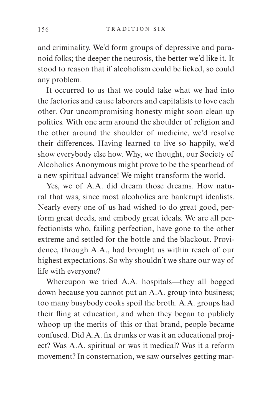and criminality. We'd form groups of depressive and paranoid folks; the deeper the neurosis, the better we'd like it. It stood to reason that if alcoholism could be licked, so could any problem.

It occurred to us that we could take what we had into the factories and cause laborers and capitalists to love each other. Our uncompromising honesty might soon clean up politics. With one arm around the shoulder of religion and the other around the shoulder of medicine, we'd resolve their differences. Having learned to live so happily, we'd show everybody else how. Why, we thought, our Society of Alcoholics Anonymous might prove to be the spearhead of a new spiritual advance! We might transform the world.

Yes, we of A.A. did dream those dreams. How natural that was, since most alcoholics are bankrupt idealists. Nearly every one of us had wished to do great good, perform great deeds, and embody great ideals. We are all perfectionists who, failing perfection, have gone to the other extreme and settled for the bottle and the blackout. Providence, through A.A., had brought us within reach of our highest expectations. So why shouldn't we share our way of life with everyone?

Whereupon we tried A.A. hospitals—they all bogged down because you cannot put an A.A. group into business; too many busybody cooks spoil the broth. A.A. groups had their fling at education, and when they began to publicly whoop up the merits of this or that brand, people became confused. Did A.A. fix drunks or was it an educational project? Was A.A. spiritual or was it medical? Was it a reform movement? In consternation, we saw ourselves getting mar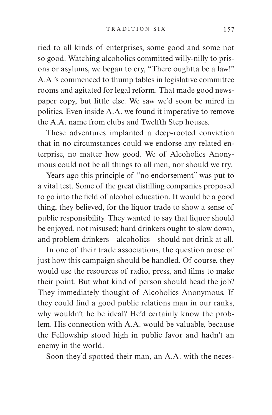ried to all kinds of enterprises, some good and some not so good. Watching alcoholics committed willy-nilly to prisons or asylums, we began to cry, "There oughtta be a law!" A.A.'s commenced to thump tables in legislative committee rooms and agitated for legal reform. That made good newspaper copy, but little else. We saw we'd soon be mired in politics. Even inside A.A. we found it imperative to remove the A.A. name from clubs and Twelfth Step houses.

These adventures implanted a deep-rooted conviction that in no circumstances could we endorse any related enterprise, no matter how good. We of Alcoholics Anonymous could not be all things to all men, nor should we try.

Years ago this principle of "no endorsement" was put to a vital test. Some of the great distilling companies proposed to go into the field of alcohol education. It would be a good thing, they believed, for the liquor trade to show a sense of public responsibility. They wanted to say that liquor should be enjoyed, not misused; hard drinkers ought to slow down, and problem drinkers—alcoholics—should not drink at all.

In one of their trade associations, the question arose of just how this campaign should be handled. Of course, they would use the resources of radio, press, and films to make their point. But what kind of person should head the job? They immediately thought of Alcoholics Anonymous. If they could find a good public relations man in our ranks, why wouldn't he be ideal? He'd certainly know the problem. His connection with A.A. would be valuable, because the Fellowship stood high in public favor and hadn't an enemy in the world.

Soon they'd spotted their man, an A.A. with the neces-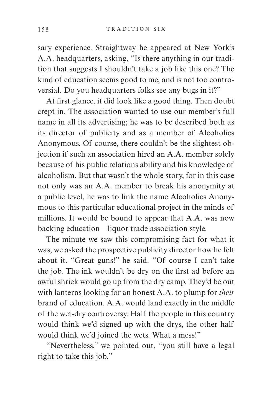sary experience. Straightway he appeared at New York's A.A. headquarters, asking, "Is there anything in our tradition that suggests I shouldn't take a job like this one? The kind of education seems good to me, and is not too controversial. Do you headquarters folks see any bugs in it?"

At first glance, it did look like a good thing. Then doubt crept in. The association wanted to use our member's full name in all its advertising; he was to be described both as its director of publicity and as a member of Alcoholics Anonymous. Of course, there couldn't be the slightest objection if such an association hired an A.A. member solely because of his public relations ability and his knowledge of alcoholism. But that wasn't the whole story, for in this case not only was an A.A. member to break his anonymity at a public level, he was to link the name Alcoholics Anonymous to this particular educational project in the minds of millions. It would be bound to appear that A.A. was now backing education—liquor trade association style.

The minute we saw this compromising fact for what it was, we asked the prospective publicity director how he felt about it. "Great guns!" he said. "Of course I can't take the job. The ink wouldn't be dry on the first ad before an awful shriek would go up from the dry camp. They'd be out with lanterns looking for an honest A.A. to plump for *their* brand of education. A.A. would land exactly in the middle of the wet-dry controversy. Half the people in this country would think we'd signed up with the drys, the other half would think we'd joined the wets. What a mess!"

"Nevertheless," we pointed out, "you still have a legal right to take this job."